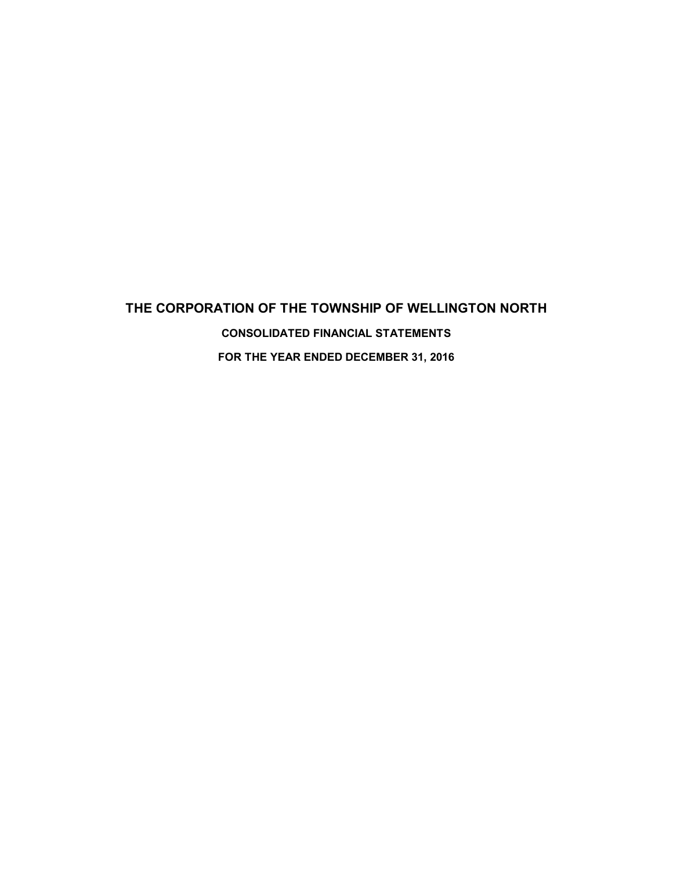# **THE CORPORATION OF THE TOWNSHIP OF WELLINGTON NORTH CONSOLIDATED FINANCIAL STATEMENTS FOR THE YEAR ENDED DECEMBER 31, 2016**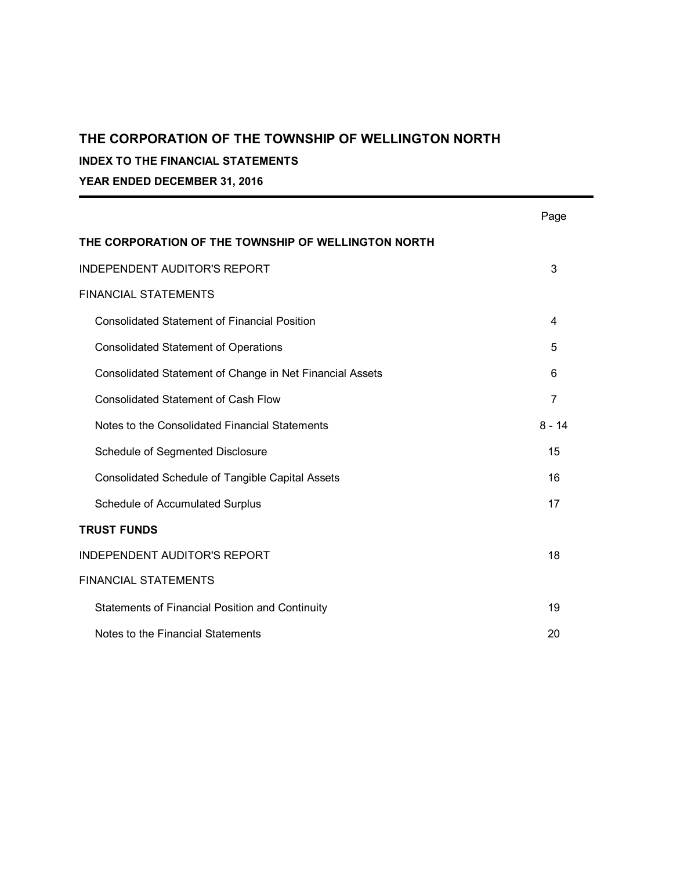**INDEX TO THE FINANCIAL STATEMENTS**

**YEAR ENDED DECEMBER 31, 2016**

|                                                          | Page           |
|----------------------------------------------------------|----------------|
| THE CORPORATION OF THE TOWNSHIP OF WELLINGTON NORTH      |                |
| <b>INDEPENDENT AUDITOR'S REPORT</b>                      | 3              |
| <b>FINANCIAL STATEMENTS</b>                              |                |
| <b>Consolidated Statement of Financial Position</b>      | 4              |
| <b>Consolidated Statement of Operations</b>              | 5              |
| Consolidated Statement of Change in Net Financial Assets | 6              |
| <b>Consolidated Statement of Cash Flow</b>               | $\overline{7}$ |
| Notes to the Consolidated Financial Statements           | $8 - 14$       |
| Schedule of Segmented Disclosure                         | 15             |
| Consolidated Schedule of Tangible Capital Assets         | 16             |
| Schedule of Accumulated Surplus                          | 17             |
| <b>TRUST FUNDS</b>                                       |                |
| <b>INDEPENDENT AUDITOR'S REPORT</b>                      | 18             |
| <b>FINANCIAL STATEMENTS</b>                              |                |
| Statements of Financial Position and Continuity          | 19             |
| Notes to the Financial Statements                        | 20             |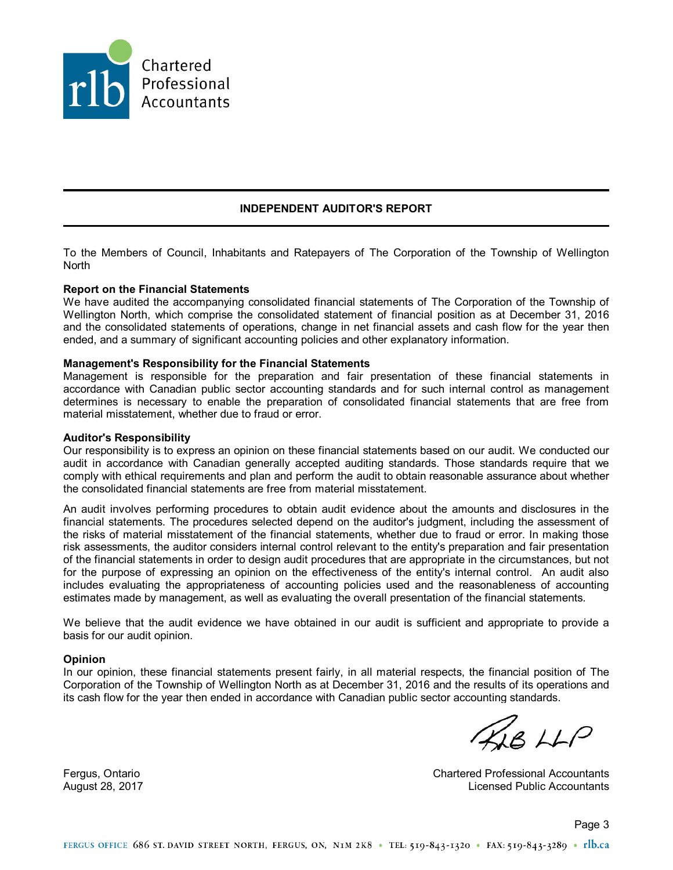

## **INDEPENDENT AUDITOR'S REPORT**

To the Members of Council, Inhabitants and Ratepayers of The Corporation of the Township of Wellington **North** 

#### **Report on the Financial Statements**

We have audited the accompanying consolidated financial statements of The Corporation of the Township of Wellington North, which comprise the consolidated statement of financial position as at December 31, 2016 and the consolidated statements of operations, change in net financial assets and cash flow for the year then ended, and a summary of significant accounting policies and other explanatory information.

#### **Management's Responsibility for the Financial Statements**

Management is responsible for the preparation and fair presentation of these financial statements in accordance with Canadian public sector accounting standards and for such internal control as management determines is necessary to enable the preparation of consolidated financial statements that are free from material misstatement, whether due to fraud or error.

#### **Auditor's Responsibility**

Our responsibility is to express an opinion on these financial statements based on our audit. We conducted our audit in accordance with Canadian generally accepted auditing standards. Those standards require that we comply with ethical requirements and plan and perform the audit to obtain reasonable assurance about whether the consolidated financial statements are free from material misstatement.

An audit involves performing procedures to obtain audit evidence about the amounts and disclosures in the financial statements. The procedures selected depend on the auditor's judgment, including the assessment of the risks of material misstatement of the financial statements, whether due to fraud or error. In making those risk assessments, the auditor considers internal control relevant to the entity's preparation and fair presentation of the financial statements in order to design audit procedures that are appropriate in the circumstances, but not for the purpose of expressing an opinion on the effectiveness of the entity's internal control. An audit also includes evaluating the appropriateness of accounting policies used and the reasonableness of accounting estimates made by management, as well as evaluating the overall presentation of the financial statements.

We believe that the audit evidence we have obtained in our audit is sufficient and appropriate to provide a basis for our audit opinion.

#### **Opinion**

In our opinion, these financial statements present fairly, in all material respects, the financial position of The Corporation of the Township of Wellington North as at December 31, 2016 and the results of its operations and its cash flow for the year then ended in accordance with Canadian public sector accounting standards.

SAB LLP

Fergus, Ontario Chartered Professional Accountants August 28, 2017 Licensed Public Accountants

FERGUS OFFICE 686 ST. DAVID STREET NORTH, FERGUS, ON, NIM 2K8 • TEL: 519-843-1320 • FAX: 519-843-3289 • rlb.ca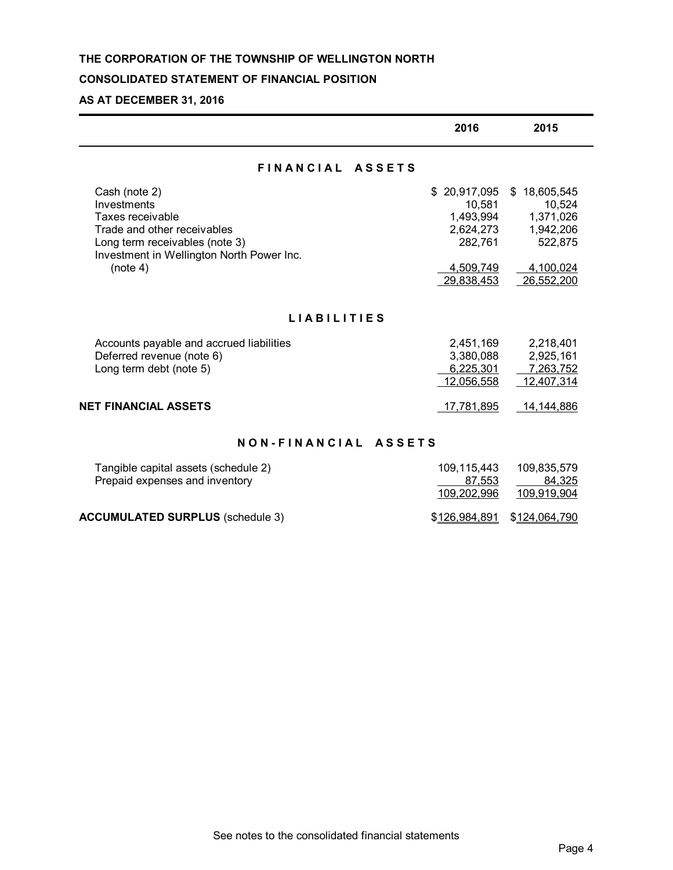# **CONSOLIDATED STATEMENT OF FINANCIAL POSITION**

# **AS AT DECEMBER 31, 2016**

|                                                                                                                                                                            | 2016                                                                                   | 2015                                                                                        |  |
|----------------------------------------------------------------------------------------------------------------------------------------------------------------------------|----------------------------------------------------------------------------------------|---------------------------------------------------------------------------------------------|--|
| FINANCIAL ASSETS                                                                                                                                                           |                                                                                        |                                                                                             |  |
| Cash (note 2)<br>Investments<br>Taxes receivable<br>Trade and other receivables<br>Long term receivables (note 3)<br>Investment in Wellington North Power Inc.<br>(note 4) | \$20,917,095<br>10,581<br>1,493,994<br>2,624,273<br>282,761<br>4,509,749<br>29,838,453 | 18,605,545<br>\$.<br>10,524<br>1,371,026<br>1,942,206<br>522,875<br>4,100,024<br>26,552,200 |  |
| <b>LIABILITIES</b>                                                                                                                                                         |                                                                                        |                                                                                             |  |
| Accounts payable and accrued liabilities<br>Deferred revenue (note 6)<br>Long term debt (note 5)                                                                           | 2,451,169<br>3,380,088<br>6,225,301<br>12,056,558                                      | 2,218,401<br>2,925,161<br>7,263,752<br>12,407,314                                           |  |
| <b>NET FINANCIAL ASSETS</b>                                                                                                                                                | <u>17,781,895</u>                                                                      | <u>14,144,886</u>                                                                           |  |
| NON-FINANCIAL ASSETS                                                                                                                                                       |                                                                                        |                                                                                             |  |

| Tangible capital assets (schedule 2)    | 109.115.443 | 109.835.579 |
|-----------------------------------------|-------------|-------------|
| Prepaid expenses and inventory          | 87.553      | 84.325      |
|                                         | 109.202.996 | 109,919,904 |
| <b>ACCUMULATED SURPLUS (schedule 3)</b> |             |             |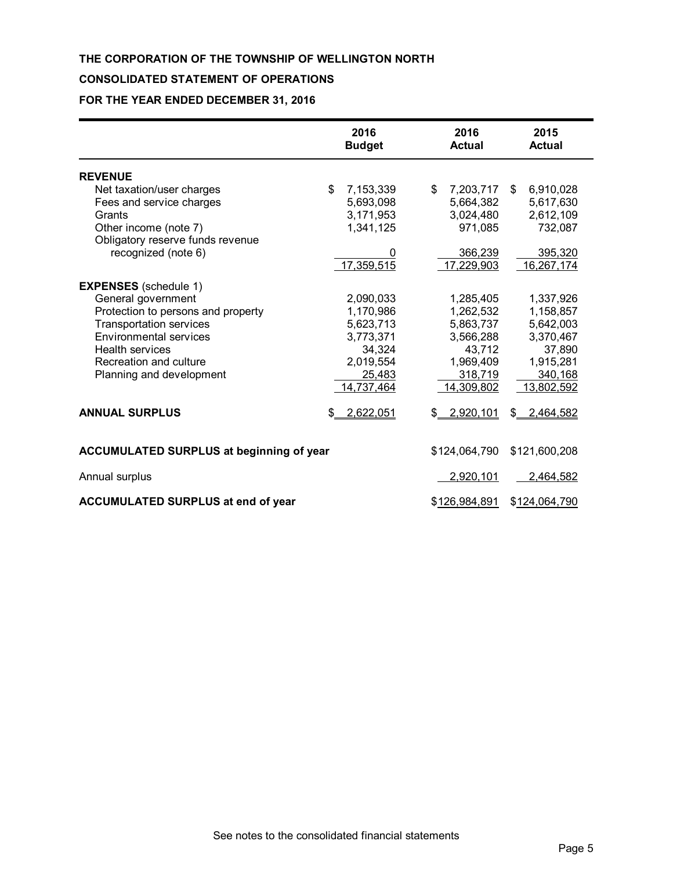# **CONSOLIDATED STATEMENT OF OPERATIONS**

|                                                 | 2016<br><b>Budget</b> | 2016<br><b>Actual</b> | 2015<br><b>Actual</b> |
|-------------------------------------------------|-----------------------|-----------------------|-----------------------|
| <b>REVENUE</b>                                  |                       |                       |                       |
| Net taxation/user charges                       | \$<br>7,153,339       | \$<br>7,203,717       | \$<br>6,910,028       |
| Fees and service charges                        | 5,693,098             | 5,664,382             | 5,617,630             |
| Grants                                          | 3,171,953             | 3,024,480             | 2,612,109             |
| Other income (note 7)                           | 1,341,125             | 971,085               | 732,087               |
| Obligatory reserve funds revenue                |                       |                       |                       |
| recognized (note 6)                             | 0                     | 366,239               | 395,320               |
|                                                 | 17,359,515            | 17,229,903            | 16,267,174            |
| <b>EXPENSES</b> (schedule 1)                    |                       |                       |                       |
| General government                              | 2,090,033             | 1,285,405             | 1,337,926             |
| Protection to persons and property              | 1,170,986             | 1,262,532             | 1,158,857             |
| <b>Transportation services</b>                  | 5,623,713             | 5,863,737             | 5,642,003             |
| <b>Environmental services</b>                   | 3,773,371             | 3,566,288             | 3,370,467             |
| <b>Health services</b>                          | 34,324                | 43,712                | 37,890                |
| Recreation and culture                          | 2,019,554             | 1,969,409             | 1,915,281             |
| Planning and development                        | 25,483                | 318,719               | 340,168               |
|                                                 | 14,737,464            | 14,309,802            | 13,802,592            |
| <b>ANNUAL SURPLUS</b>                           | 2,622,051<br>\$       | \$2,920,101           | \$ 2,464,582          |
| <b>ACCUMULATED SURPLUS at beginning of year</b> |                       | \$124,064,790         | \$121,600,208         |
| Annual surplus                                  |                       | 2,920,101             | 2,464,582             |
| <b>ACCUMULATED SURPLUS at end of year</b>       |                       | \$126,984,891         | \$124,064,790         |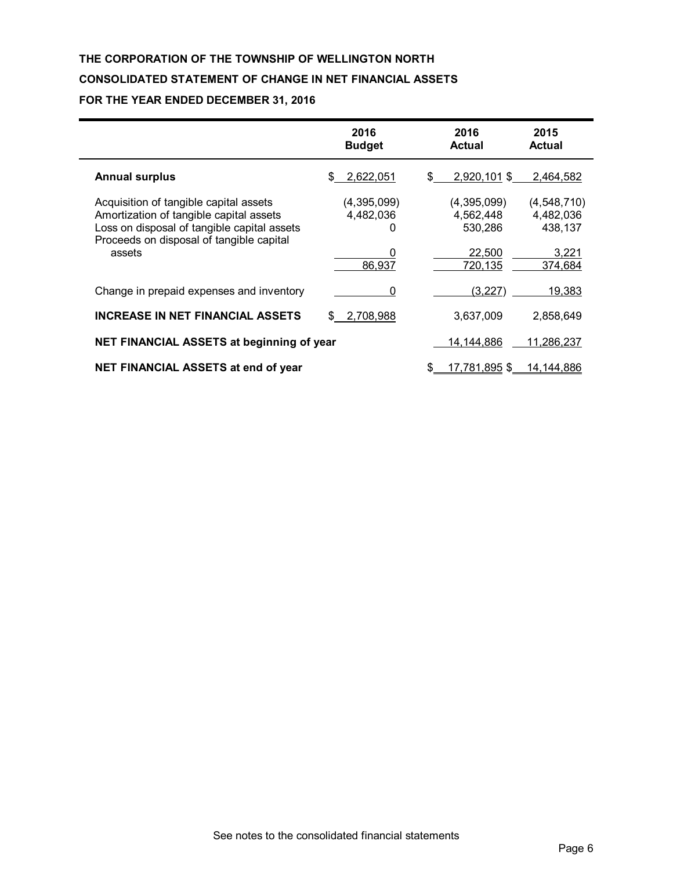# **THE CORPORATION OF THE TOWNSHIP OF WELLINGTON NORTH CONSOLIDATED STATEMENT OF CHANGE IN NET FINANCIAL ASSETS FOR THE YEAR ENDED DECEMBER 31, 2016**

|                                                                                                                                                                                        | 2016<br><b>Budget</b>                   | 2016<br>Actual                                           | 2015<br><b>Actual</b>                                   |
|----------------------------------------------------------------------------------------------------------------------------------------------------------------------------------------|-----------------------------------------|----------------------------------------------------------|---------------------------------------------------------|
| <b>Annual surplus</b>                                                                                                                                                                  | 2,622,051                               | 2,920,101 \$                                             | 2,464,582                                               |
| Acquisition of tangible capital assets<br>Amortization of tangible capital assets<br>Loss on disposal of tangible capital assets<br>Proceeds on disposal of tangible capital<br>assets | (4,395,099)<br>4,482,036<br>0<br>86,937 | (4,395,099)<br>4,562,448<br>530.286<br>22,500<br>720,135 | (4,548,710)<br>4,482,036<br>438,137<br>3,221<br>374,684 |
| Change in prepaid expenses and inventory                                                                                                                                               | 0                                       | (3,227)                                                  | 19,383                                                  |
| <b>INCREASE IN NET FINANCIAL ASSETS</b>                                                                                                                                                | \$2,708,988                             | 3,637,009                                                | 2,858,649                                               |
| NET FINANCIAL ASSETS at beginning of year                                                                                                                                              |                                         | 14.144.886                                               | 11,286,237                                              |
| NET FINANCIAL ASSETS at end of year                                                                                                                                                    |                                         | 17,781,895 \$                                            | 14,144,886                                              |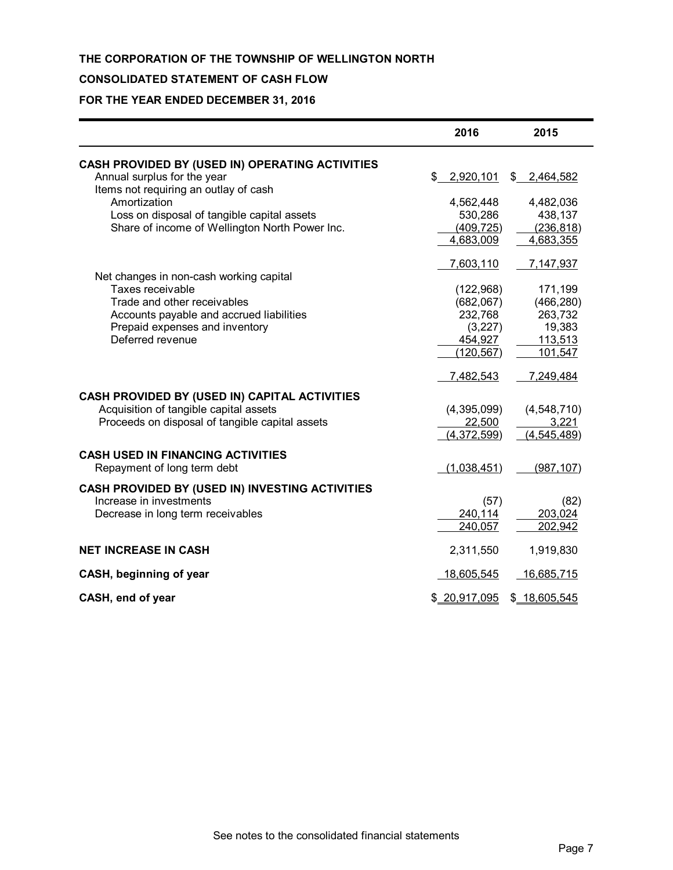# **CONSOLIDATED STATEMENT OF CASH FLOW**

|                                                       | 2016                 | 2015                  |
|-------------------------------------------------------|----------------------|-----------------------|
| CASH PROVIDED BY (USED IN) OPERATING ACTIVITIES       |                      |                       |
| Annual surplus for the year                           | \$<br>2,920,101      | 2,464,582<br>\$       |
| Items not requiring an outlay of cash<br>Amortization | 4,562,448            | 4,482,036             |
| Loss on disposal of tangible capital assets           | 530,286              | 438,137               |
| Share of income of Wellington North Power Inc.        | (409, 725)           | (236, 818)            |
|                                                       | 4,683,009            | 4,683,355             |
|                                                       | 7,603,110            | 7,147,937             |
| Net changes in non-cash working capital               |                      |                       |
| Taxes receivable<br>Trade and other receivables       | (122, 968)           | 171,199               |
| Accounts payable and accrued liabilities              | (682,067)<br>232,768 | (466, 280)<br>263,732 |
| Prepaid expenses and inventory                        | (3,227)              | 19,383                |
| Deferred revenue                                      | 454,927              | 113,513               |
|                                                       | (120, 567)           | 101,547               |
|                                                       | 7,482,543            | 7,249,484             |
| CASH PROVIDED BY (USED IN) CAPITAL ACTIVITIES         |                      |                       |
| Acquisition of tangible capital assets                | (4,395,099)          | (4,548,710)           |
| Proceeds on disposal of tangible capital assets       | 22,500               | 3,221                 |
|                                                       | (4,372,599)          | (4,545,489)           |
| <b>CASH USED IN FINANCING ACTIVITIES</b>              |                      |                       |
| Repayment of long term debt                           | (1,038,451)          | (987, 107)            |
| CASH PROVIDED BY (USED IN) INVESTING ACTIVITIES       |                      |                       |
| Increase in investments                               | (57)                 | (82)                  |
| Decrease in long term receivables                     | 240,114              | 203,024               |
|                                                       | 240,057              | 202,942               |
| <b>NET INCREASE IN CASH</b>                           | 2,311,550            | 1,919,830             |
| CASH, beginning of year                               | 18,605,545           | 16,685,715            |
| CASH, end of year                                     | \$ 20,917,095        | \$ 18,605,545         |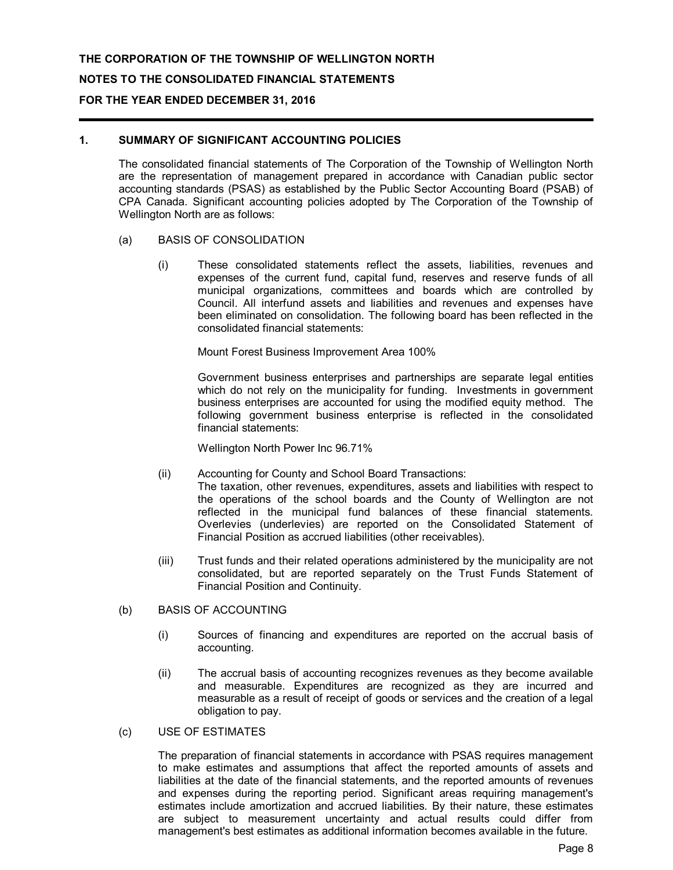# **THE CORPORATION OF THE TOWNSHIP OF WELLINGTON NORTH NOTES TO THE CONSOLIDATED FINANCIAL STATEMENTS**

**FOR THE YEAR ENDED DECEMBER 31, 2016**

## **1. SUMMARY OF SIGNIFICANT ACCOUNTING POLICIES**

The consolidated financial statements of The Corporation of the Township of Wellington North are the representation of management prepared in accordance with Canadian public sector accounting standards (PSAS) as established by the Public Sector Accounting Board (PSAB) of CPA Canada. Significant accounting policies adopted by The Corporation of the Township of Wellington North are as follows:

- (a) BASIS OF CONSOLIDATION
	- (i) These consolidated statements reflect the assets, liabilities, revenues and expenses of the current fund, capital fund, reserves and reserve funds of all municipal organizations, committees and boards which are controlled by Council. All interfund assets and liabilities and revenues and expenses have been eliminated on consolidation. The following board has been reflected in the consolidated financial statements:

Mount Forest Business Improvement Area 100%

Government business enterprises and partnerships are separate legal entities which do not rely on the municipality for funding. Investments in government business enterprises are accounted for using the modified equity method. The following government business enterprise is reflected in the consolidated financial statements:

Wellington North Power Inc 96.71%

(ii) Accounting for County and School Board Transactions:

The taxation, other revenues, expenditures, assets and liabilities with respect to the operations of the school boards and the County of Wellington are not reflected in the municipal fund balances of these financial statements. Overlevies (underlevies) are reported on the Consolidated Statement of Financial Position as accrued liabilities (other receivables).

- (iii) Trust funds and their related operations administered by the municipality are not consolidated, but are reported separately on the Trust Funds Statement of Financial Position and Continuity.
- (b) BASIS OF ACCOUNTING
	- (i) Sources of financing and expenditures are reported on the accrual basis of accounting.
	- (ii) The accrual basis of accounting recognizes revenues as they become available and measurable. Expenditures are recognized as they are incurred and measurable as a result of receipt of goods or services and the creation of a legal obligation to pay.
- (c) USE OF ESTIMATES

The preparation of financial statements in accordance with PSAS requires management to make estimates and assumptions that affect the reported amounts of assets and liabilities at the date of the financial statements, and the reported amounts of revenues and expenses during the reporting period. Significant areas requiring management's estimates include amortization and accrued liabilities. By their nature, these estimates are subject to measurement uncertainty and actual results could differ from management's best estimates as additional information becomes available in the future.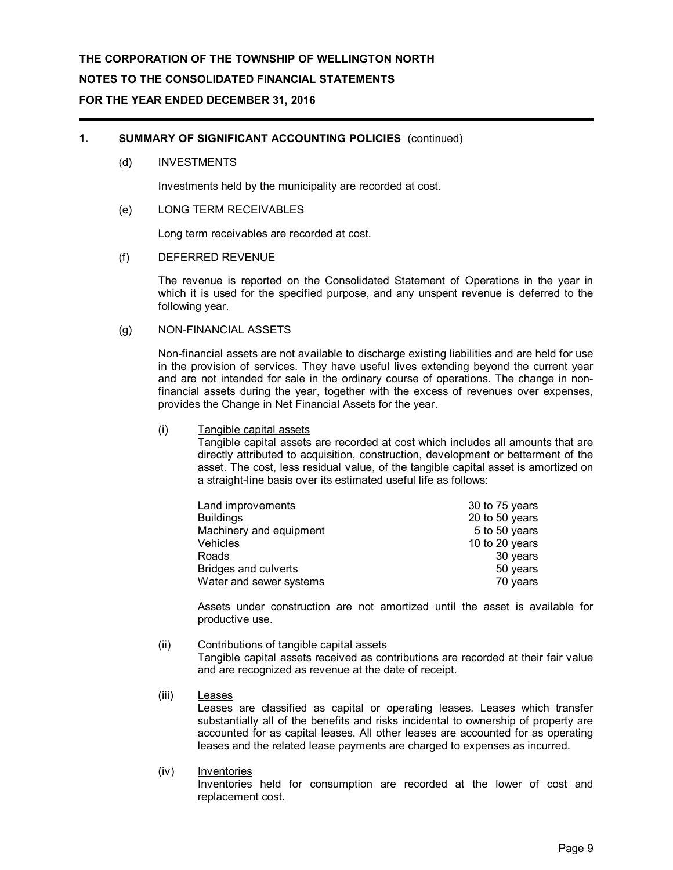#### **1. SUMMARY OF SIGNIFICANT ACCOUNTING POLICIES** (continued)

#### (d) INVESTMENTS

Investments held by the municipality are recorded at cost.

#### (e) LONG TERM RECEIVABLES

Long term receivables are recorded at cost.

#### (f) DEFERRED REVENUE

The revenue is reported on the Consolidated Statement of Operations in the year in which it is used for the specified purpose, and any unspent revenue is deferred to the following year.

#### (g) NON-FINANCIAL ASSETS

Non-financial assets are not available to discharge existing liabilities and are held for use in the provision of services. They have useful lives extending beyond the current year and are not intended for sale in the ordinary course of operations. The change in nonfinancial assets during the year, together with the excess of revenues over expenses, provides the Change in Net Financial Assets for the year.

#### (i) Tangible capital assets

Tangible capital assets are recorded at cost which includes all amounts that are directly attributed to acquisition, construction, development or betterment of the asset. The cost, less residual value, of the tangible capital asset is amortized on a straight-line basis over its estimated useful life as follows:

| Land improvements           | 30 to 75 years |
|-----------------------------|----------------|
| <b>Buildings</b>            | 20 to 50 years |
| Machinery and equipment     | 5 to 50 years  |
| Vehicles                    | 10 to 20 years |
| Roads                       | 30 years       |
| <b>Bridges and culverts</b> | 50 years       |
| Water and sewer systems     | 70 years       |

Assets under construction are not amortized until the asset is available for productive use.

#### (ii) Contributions of tangible capital assets

Tangible capital assets received as contributions are recorded at their fair value and are recognized as revenue at the date of receipt.

(iii) Leases

Leases are classified as capital or operating leases. Leases which transfer substantially all of the benefits and risks incidental to ownership of property are accounted for as capital leases. All other leases are accounted for as operating leases and the related lease payments are charged to expenses as incurred.

#### (iv) Inventories

Inventories held for consumption are recorded at the lower of cost and replacement cost.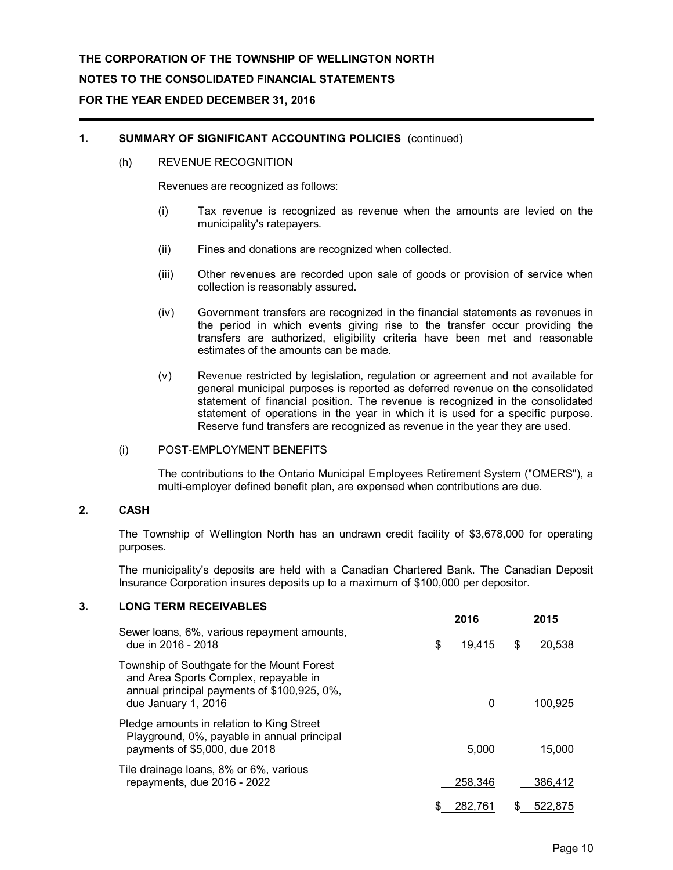#### **1. SUMMARY OF SIGNIFICANT ACCOUNTING POLICIES** (continued)

#### (h) REVENUE RECOGNITION

Revenues are recognized as follows:

- (i) Tax revenue is recognized as revenue when the amounts are levied on the municipality's ratepayers.
- (ii) Fines and donations are recognized when collected.
- (iii) Other revenues are recorded upon sale of goods or provision of service when collection is reasonably assured.
- (iv) Government transfers are recognized in the financial statements as revenues in the period in which events giving rise to the transfer occur providing the transfers are authorized, eligibility criteria have been met and reasonable estimates of the amounts can be made.
- (v) Revenue restricted by legislation, regulation or agreement and not available for general municipal purposes is reported as deferred revenue on the consolidated statement of financial position. The revenue is recognized in the consolidated statement of operations in the year in which it is used for a specific purpose. Reserve fund transfers are recognized as revenue in the year they are used.

#### (i) POST-EMPLOYMENT BENEFITS

The contributions to the Ontario Municipal Employees Retirement System ("OMERS"), a multi-employer defined benefit plan, are expensed when contributions are due.

## **2. CASH**

The Township of Wellington North has an undrawn credit facility of \$3,678,000 for operating purposes.

The municipality's deposits are held with a Canadian Chartered Bank. The Canadian Deposit Insurance Corporation insures deposits up to a maximum of \$100,000 per depositor.

#### **3. LONG TERM RECEIVABLES**

|                                                                                                                                                           | 2016         |   | 2015    |
|-----------------------------------------------------------------------------------------------------------------------------------------------------------|--------------|---|---------|
| Sewer loans, 6%, various repayment amounts,<br>due in 2016 - 2018                                                                                         | \$<br>19.415 | S | 20,538  |
| Township of Southgate for the Mount Forest<br>and Area Sports Complex, repayable in<br>annual principal payments of \$100,925, 0%,<br>due January 1, 2016 | 0            |   | 100,925 |
| Pledge amounts in relation to King Street<br>Playground, 0%, payable in annual principal<br>payments of \$5,000, due 2018                                 | 5,000        |   | 15,000  |
| Tile drainage loans, 8% or 6%, various<br>repayments, due 2016 - 2022                                                                                     | 258,346      |   | 386,412 |
|                                                                                                                                                           | 282.761      |   | 522.875 |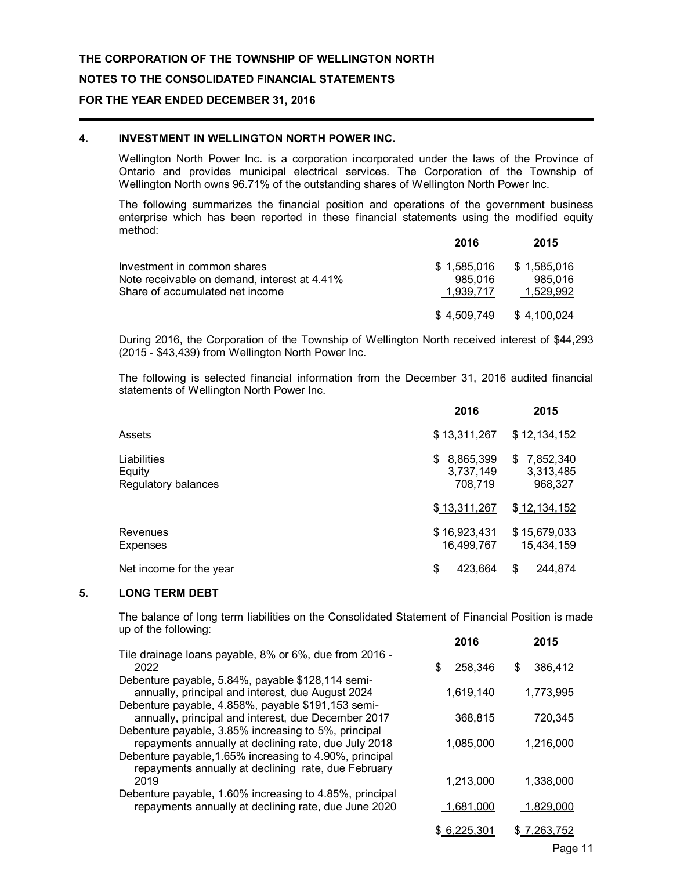# **THE CORPORATION OF THE TOWNSHIP OF WELLINGTON NORTH NOTES TO THE CONSOLIDATED FINANCIAL STATEMENTS FOR THE YEAR ENDED DECEMBER 31, 2016**

#### **4. INVESTMENT IN WELLINGTON NORTH POWER INC.**

Wellington North Power Inc. is a corporation incorporated under the laws of the Province of Ontario and provides municipal electrical services. The Corporation of the Township of Wellington North owns 96.71% of the outstanding shares of Wellington North Power Inc.

The following summarizes the financial position and operations of the government business enterprise which has been reported in these financial statements using the modified equity method:

|                                                                                 | 2016                 | 2015                 |
|---------------------------------------------------------------------------------|----------------------|----------------------|
| Investment in common shares                                                     | \$1.585.016          | \$1,585,016          |
| Note receivable on demand, interest at 4.41%<br>Share of accumulated net income | 985.016<br>1.939.717 | 985.016<br>1,529,992 |
|                                                                                 | \$4,509,749          | \$4,100,024          |

During 2016, the Corporation of the Township of Wellington North received interest of \$44,293 (2015 - \$43,439) from Wellington North Power Inc.

The following is selected financial information from the December 31, 2016 audited financial statements of Wellington North Power Inc.

|                                              | 2016                                    | 2015                                    |
|----------------------------------------------|-----------------------------------------|-----------------------------------------|
| Assets                                       | \$13,311,267                            | \$12,134,152                            |
| Liabilities<br>Equity<br>Regulatory balances | 8,865,399<br>\$<br>3,737,149<br>708,719 | 7,852,340<br>\$<br>3,313,485<br>968,327 |
|                                              | \$13,311,267                            | \$12,134,152                            |
| Revenues<br>Expenses                         | \$16,923,431<br>16,499,767              | \$15,679,033<br>15,434,159              |
| Net income for the year                      | \$<br>423,664                           | \$<br>244,874                           |

#### **5. LONG TERM DEBT**

The balance of long term liabilities on the Consolidated Statement of Financial Position is made up of the following:

|                                                                                                                 | 2016         | 2015          |
|-----------------------------------------------------------------------------------------------------------------|--------------|---------------|
| Tile drainage loans payable, 8% or 6%, due from 2016 -<br>2022                                                  | 258,346<br>S | 386,412<br>\$ |
| Debenture payable, 5.84%, payable \$128,114 semi-<br>annually, principal and interest, due August 2024          | 1,619,140    | 1,773,995     |
| Debenture payable, 4.858%, payable \$191,153 semi-<br>annually, principal and interest, due December 2017       | 368,815      | 720.345       |
| Debenture payable, 3.85% increasing to 5%, principal                                                            |              |               |
| repayments annually at declining rate, due July 2018<br>Debenture payable, 1.65% increasing to 4.90%, principal | 1,085,000    | 1,216,000     |
| repayments annually at declining rate, due February<br>2019                                                     | 1.213.000    | 1,338,000     |
| Debenture payable, 1.60% increasing to 4.85%, principal<br>repayments annually at declining rate, due June 2020 | 1,681,000    | 1,829,000     |
|                                                                                                                 | \$ 6.225.301 | \$7.263.752   |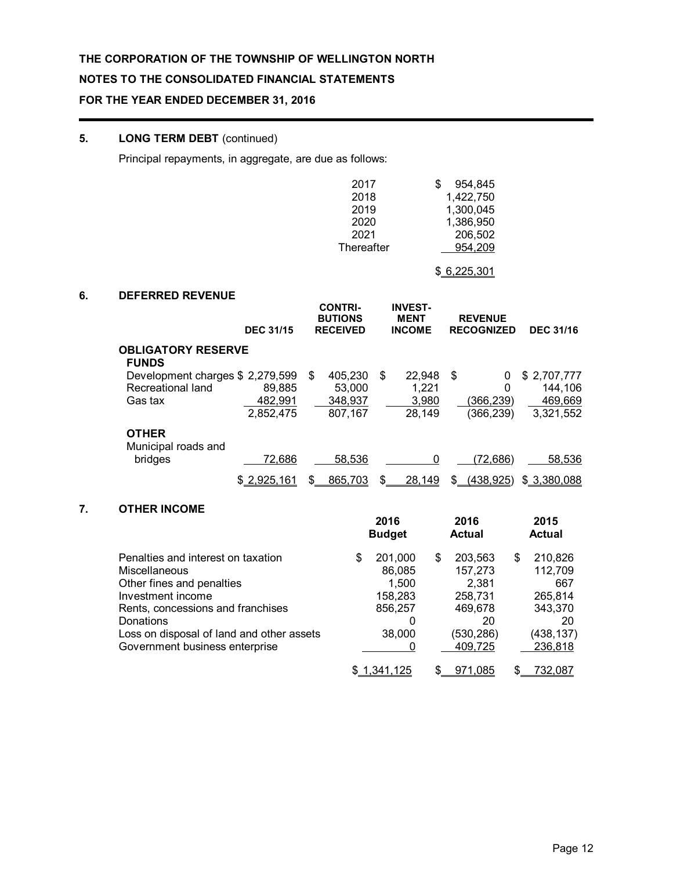# **THE CORPORATION OF THE TOWNSHIP OF WELLINGTON NORTH NOTES TO THE CONSOLIDATED FINANCIAL STATEMENTS FOR THE YEAR ENDED DECEMBER 31, 2016**

# **5. LONG TERM DEBT** (continued)

Principal repayments, in aggregate, are due as follows:

| 2017       | 954.845<br>S |
|------------|--------------|
| 2018       | 1,422,750    |
| 2019       | 1,300,045    |
| 2020       | 1,386,950    |
| 2021       | 206,502      |
| Thereafter | 954,209      |
|            |              |

\$ 6,225,301

#### **6. DEFERRED REVENUE**

|                                           | <b>DEC 31/15</b> |   | <b>CONTRI-</b><br><b>BUTIONS</b><br><b>RECEIVED</b> |   | <b>INVEST-</b><br><b>MENT</b><br><b>INCOME</b> |     | <b>REVENUE</b><br><b>RECOGNIZED</b> | <b>DEC 31/16</b> |
|-------------------------------------------|------------------|---|-----------------------------------------------------|---|------------------------------------------------|-----|-------------------------------------|------------------|
| <b>OBLIGATORY RESERVE</b><br><b>FUNDS</b> |                  |   |                                                     |   |                                                |     |                                     |                  |
| Development charges \$2,279,599           |                  | S | 405,230                                             | S | 22,948                                         | \$  | 0                                   | \$2,707,777      |
| Recreational land                         | 89.885           |   | 53,000                                              |   | 1,221                                          |     | 0                                   | 144,106          |
| Gas tax                                   | 482.991          |   | 348.937                                             |   | 3,980                                          |     | (366.239)                           | 469,669          |
|                                           | 2,852,475        |   | 807,167                                             |   | 28,149                                         |     | (366, 239)                          | 3,321,552        |
| <b>OTHER</b><br>Municipal roads and       |                  |   |                                                     |   |                                                |     |                                     |                  |
| bridges                                   | 72,686           |   | 58,536                                              |   | 0                                              |     | (72, 686)                           | 58,536           |
|                                           | \$2,925,161      | S | 865,703                                             |   | 28.149                                         | \$. | (438, 925)                          | \$ 3.380.088     |

# **7. OTHER INCOME**

|                                                                                                                                                                                                                                        | 2016<br><b>Budget</b>                                                      |    | 2016<br><b>Actual</b>                                                            |   | 2015<br><b>Actual</b>                                                         |
|----------------------------------------------------------------------------------------------------------------------------------------------------------------------------------------------------------------------------------------|----------------------------------------------------------------------------|----|----------------------------------------------------------------------------------|---|-------------------------------------------------------------------------------|
| Penalties and interest on taxation<br>Miscellaneous<br>Other fines and penalties<br>Investment income<br>Rents, concessions and franchises<br>Donations<br>Loss on disposal of land and other assets<br>Government business enterprise | \$<br>201,000<br>86,085<br>1,500<br>158,283<br>856,257<br>0<br>38,000<br>0 | \$ | 203,563<br>157,273<br>2.381<br>258,731<br>469,678<br>20<br>(530, 286)<br>409,725 | S | 210,826<br>112,709<br>667<br>265,814<br>343,370<br>20<br>(438,137)<br>236,818 |
|                                                                                                                                                                                                                                        | \$1,341,125                                                                | S  | 971,085                                                                          |   | 732,087                                                                       |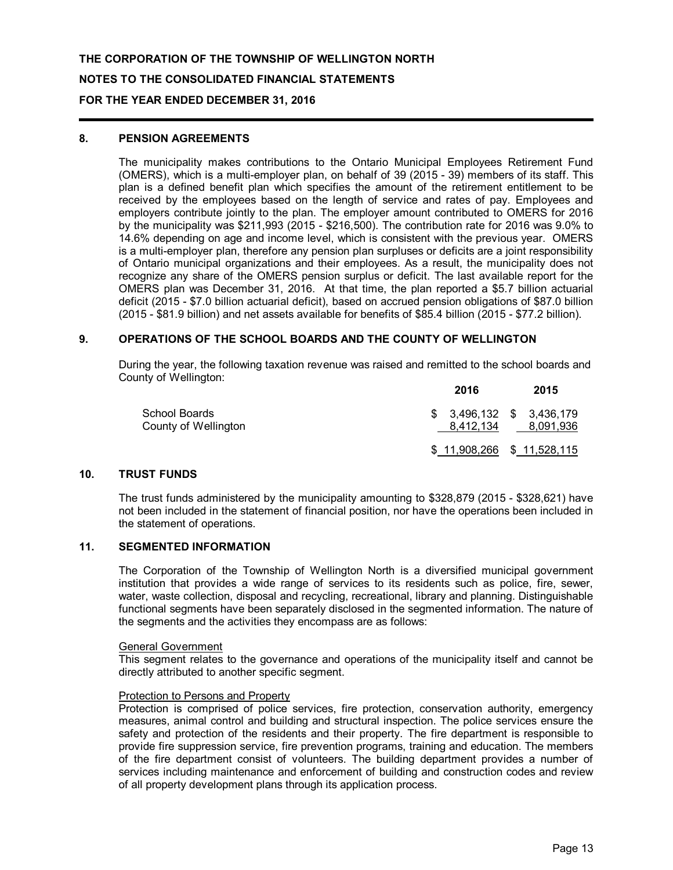# **THE CORPORATION OF THE TOWNSHIP OF WELLINGTON NORTH NOTES TO THE CONSOLIDATED FINANCIAL STATEMENTS FOR THE YEAR ENDED DECEMBER 31, 2016**

#### **8. PENSION AGREEMENTS**

The municipality makes contributions to the Ontario Municipal Employees Retirement Fund (OMERS), which is a multi-employer plan, on behalf of 39 (2015 - 39) members of its staff. This plan is a defined benefit plan which specifies the amount of the retirement entitlement to be received by the employees based on the length of service and rates of pay. Employees and employers contribute jointly to the plan. The employer amount contributed to OMERS for 2016 by the municipality was \$211,993 (2015 - \$216,500). The contribution rate for 2016 was 9.0% to 14.6% depending on age and income level, which is consistent with the previous year. OMERS is a multi-employer plan, therefore any pension plan surpluses or deficits are a joint responsibility of Ontario municipal organizations and their employees. As a result, the municipality does not recognize any share of the OMERS pension surplus or deficit. The last available report for the OMERS plan was December 31, 2016. At that time, the plan reported a \$5.7 billion actuarial deficit (2015 - \$7.0 billion actuarial deficit), based on accrued pension obligations of \$87.0 billion (2015 - \$81.9 billion) and net assets available for benefits of \$85.4 billion (2015 - \$77.2 billion).

#### **9. OPERATIONS OF THE SCHOOL BOARDS AND THE COUNTY OF WELLINGTON**

During the year, the following taxation revenue was raised and remitted to the school boards and County of Wellington:

|                                       | 2016                                   | 2015      |
|---------------------------------------|----------------------------------------|-----------|
| School Boards<br>County of Wellington | $$3,496,132$ $$3,436,179$<br>8,412,134 | 8.091.936 |
|                                       | \$ 11,908,266 \$ 11,528,115            |           |

#### **10. TRUST FUNDS**

The trust funds administered by the municipality amounting to \$328,879 (2015 - \$328,621) have not been included in the statement of financial position, nor have the operations been included in the statement of operations.

#### **11. SEGMENTED INFORMATION**

The Corporation of the Township of Wellington North is a diversified municipal government institution that provides a wide range of services to its residents such as police, fire, sewer, water, waste collection, disposal and recycling, recreational, library and planning. Distinguishable functional segments have been separately disclosed in the segmented information. The nature of the segments and the activities they encompass are as follows:

#### General Government

This segment relates to the governance and operations of the municipality itself and cannot be directly attributed to another specific segment.

#### Protection to Persons and Property

Protection is comprised of police services, fire protection, conservation authority, emergency measures, animal control and building and structural inspection. The police services ensure the safety and protection of the residents and their property. The fire department is responsible to provide fire suppression service, fire prevention programs, training and education. The members of the fire department consist of volunteers. The building department provides a number of services including maintenance and enforcement of building and construction codes and review of all property development plans through its application process.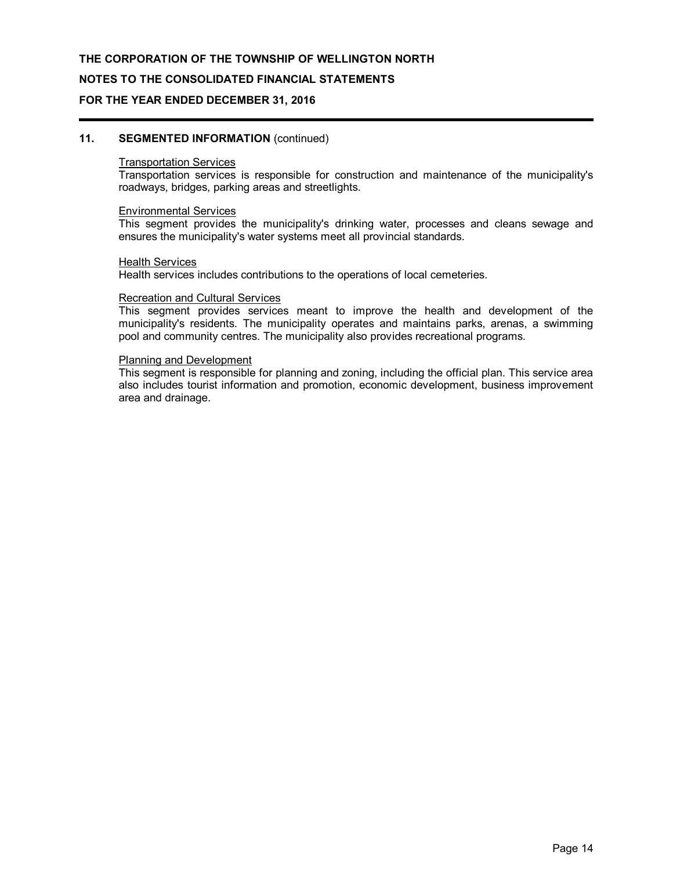#### **NOTES TO THE CONSOLIDATED FINANCIAL STATEMENTS**

#### **FOR THE YEAR ENDED DECEMBER 31, 2016**

#### **11. SEGMENTED INFORMATION** (continued)

#### Transportation Services

Transportation services is responsible for construction and maintenance of the municipality's roadways, bridges, parking areas and streetlights.

#### Environmental Services

This segment provides the municipality's drinking water, processes and cleans sewage and ensures the municipality's water systems meet all provincial standards.

#### Health Services

Health services includes contributions to the operations of local cemeteries.

#### Recreation and Cultural Services

This segment provides services meant to improve the health and development of the municipality's residents. The municipality operates and maintains parks, arenas, a swimming pool and community centres. The municipality also provides recreational programs.

#### Planning and Development

This segment is responsible for planning and zoning, including the official plan. This service area also includes tourist information and promotion, economic development, business improvement area and drainage.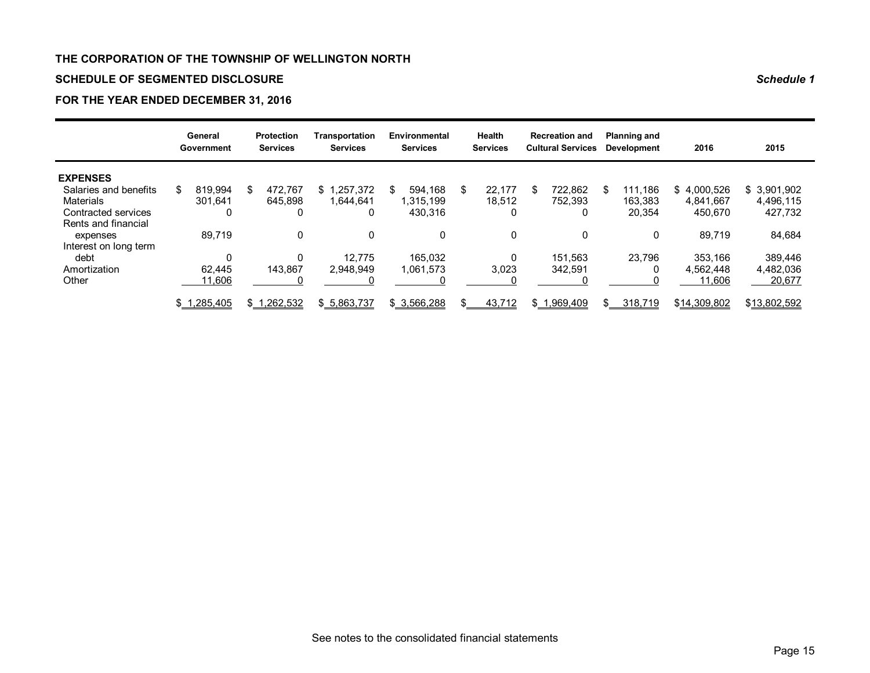### **SCHEDULE OF SEGMENTED DISCLOSURE** *Schedule 1*

|                       |    | General<br>Government |     | <b>Protection</b><br><b>Services</b> | Transportation<br><b>Services</b> | Environmental<br><b>Services</b> |    | Health<br><b>Services</b> |   | <b>Recreation and</b><br><b>Cultural Services</b> |    | <b>Planning and</b><br><b>Development</b> | 2016         | 2015         |
|-----------------------|----|-----------------------|-----|--------------------------------------|-----------------------------------|----------------------------------|----|---------------------------|---|---------------------------------------------------|----|-------------------------------------------|--------------|--------------|
| <b>EXPENSES</b>       |    |                       |     |                                      |                                   |                                  |    |                           |   |                                                   |    |                                           |              |              |
| Salaries and benefits | S. | 819.994               | \$. | 472.767                              | .257.372<br>\$1                   | 594.168<br>\$                    | S. | 22.177                    | S | 722,862                                           | .S | 111.186                                   | \$4.000.526  | \$3,901,902  |
| <b>Materials</b>      |    | 301.641               |     | 645.898                              | .644.641                          | 1.315.199                        |    | 18.512                    |   | 752.393                                           |    | 163.383                                   | 4.841.667    | 4,496,115    |
| Contracted services   |    | 0                     |     | 0                                    |                                   | 430.316                          |    | 0                         |   | 0                                                 |    | 20,354                                    | 450.670      | 427,732      |
| Rents and financial   |    |                       |     |                                      |                                   |                                  |    |                           |   |                                                   |    |                                           |              |              |
| expenses              |    | 89,719                |     | 0                                    |                                   | 0                                |    | 0                         |   | 0                                                 |    | 0                                         | 89,719       | 84,684       |
| Interest on long term |    |                       |     |                                      |                                   |                                  |    |                           |   |                                                   |    |                                           |              |              |
| debt                  |    | $\Omega$              |     | 0                                    | 12.775                            | 165.032                          |    |                           |   | 151.563                                           |    | 23.796                                    | 353.166      | 389,446      |
| Amortization          |    | 62.445                |     | 143.867                              | 2.948.949                         | 1.061.573                        |    | 3.023                     |   | 342.591                                           |    |                                           | 4.562.448    | 4,482,036    |
| Other                 |    | 11,606                |     |                                      |                                   |                                  |    |                           |   |                                                   |    |                                           | 11,606       | 20,677       |
|                       |    | \$1,285,405           | \$1 | ,262,532                             | \$5,863,737                       | \$3,566,288                      | \$ | 43,712                    |   | \$1,969,409                                       |    | 318,719                                   | \$14,309,802 | \$13,802,592 |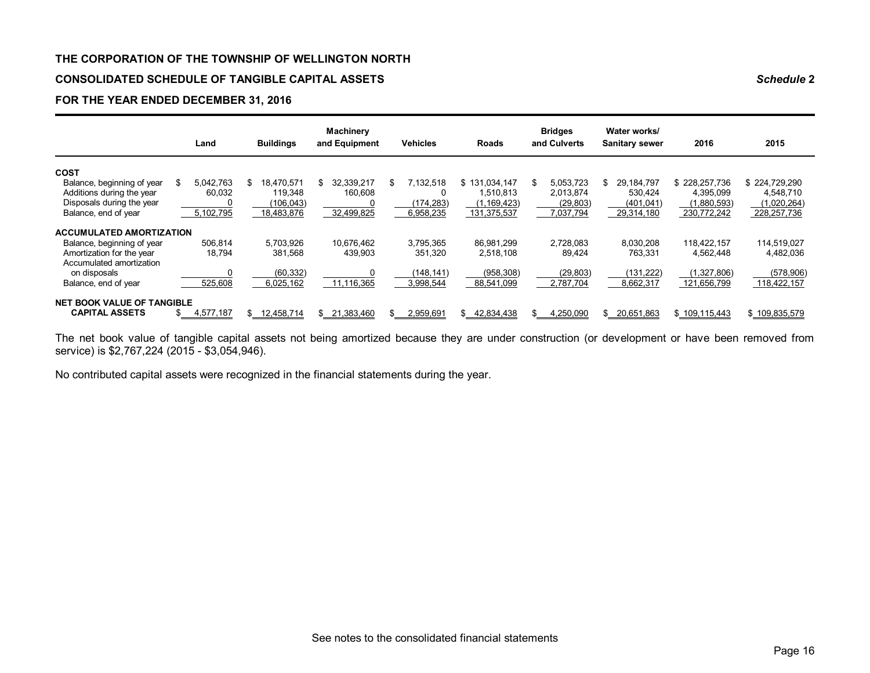## **CONSOLIDATED SCHEDULE OF TANGIBLE CAPITAL ASSETS** *Schedule* **2**

## **FOR THE YEAR ENDED DECEMBER 31, 2016**

|                                                                                     |     | Land                |     | <b>Buildings</b>        | <b>Machinery</b><br>and Equipment |     | <b>Vehicles</b>         |     | Roads                        |    | <b>Bridges</b><br>and Culverts |     | Water works/<br><b>Sanitary sewer</b> | 2016                       | 2015                       |
|-------------------------------------------------------------------------------------|-----|---------------------|-----|-------------------------|-----------------------------------|-----|-------------------------|-----|------------------------------|----|--------------------------------|-----|---------------------------------------|----------------------------|----------------------------|
| <b>COST</b><br>Balance, beginning of year<br>Additions during the year              | \$  | 5,042,763<br>60,032 | \$  | 18.470.571<br>119.348   | \$<br>32,339,217<br>160,608       | \$  | 7.132.518<br>0          |     | \$131.034.147<br>1.510.813   | S  | 5,053,723<br>2,013,874         | \$  | 29,184,797<br>530.424                 | \$228,257,736<br>4.395.099 | \$224,729,290<br>4,548,710 |
| Disposals during the year<br>Balance, end of year                                   |     | 5,102,795           |     | (106,043)<br>18,483,876 | 32,499,825                        |     | (174, 283)<br>6,958,235 |     | (1, 169, 423)<br>131,375,537 |    | (29, 803)<br>7,037,794         |     | (401,041)<br>29,314,180               | (1,880,593)<br>230,772,242 | (1,020,264)<br>228,257,736 |
| <b>ACCUMULATED AMORTIZATION</b>                                                     |     |                     |     |                         |                                   |     |                         |     |                              |    |                                |     |                                       |                            |                            |
| Balance, beginning of year<br>Amortization for the year<br>Accumulated amortization |     | 506.814<br>18,794   |     | 5.703.926<br>381,568    | 10.676.462<br>439,903             |     | 3.795.365<br>351,320    |     | 86.981.299<br>2,518,108      |    | 2,728,083<br>89,424            |     | 8,030,208<br>763,331                  | 118.422.157<br>4,562,448   | 114,519,027<br>4,482,036   |
| on disposals<br>Balance, end of year                                                |     | 0<br>525,608        |     | (60, 332)<br>6,025,162  | 11,116,365                        |     | (148, 141)<br>3,998,544 |     | (958, 308)<br>88,541,099     |    | (29, 803)<br>2,787,704         |     | (131, 222)<br>8,662,317               | (1,327,806)<br>121,656,799 | (578,906)<br>118,422,157   |
| <b>NET BOOK VALUE OF TANGIBLE</b><br><b>CAPITAL ASSETS</b>                          | \$. | 4,577,187           | \$. | 12.458.714              | \$<br>21.383.460                  | \$. | 2,959,691               | \$. | 42.834.438                   | \$ | 4.250.090                      | \$. | 20.651.863                            | \$109.115.443              | \$109,835,579              |

The net book value of tangible capital assets not being amortized because they are under construction (or development or have been removed from service) is \$2,767,224 (2015 - \$3,054,946).

No contributed capital assets were recognized in the financial statements during the year.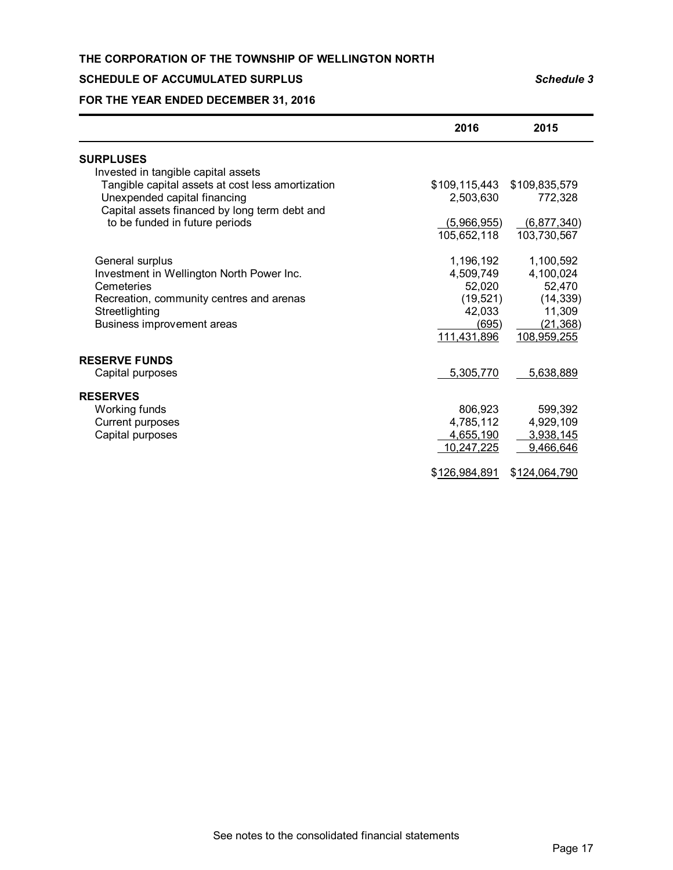## **SCHEDULE OF ACCUMULATED SURPLUS** *Schedule 3*

|                                                            | 2016                | 2015                |
|------------------------------------------------------------|---------------------|---------------------|
| <b>SURPLUSES</b>                                           |                     |                     |
| Invested in tangible capital assets                        |                     |                     |
| Tangible capital assets at cost less amortization          | \$109,115,443       | \$109,835,579       |
| Unexpended capital financing                               | 2,503,630           | 772,328             |
| Capital assets financed by long term debt and              |                     |                     |
| to be funded in future periods                             | (5,966,955)         | (6, 877, 340)       |
|                                                            | 105,652,118         | 103,730,567         |
|                                                            |                     |                     |
| General surplus                                            | 1,196,192           | 1,100,592           |
| Investment in Wellington North Power Inc.<br>Cemeteries    | 4,509,749           | 4,100,024           |
|                                                            | 52,020              | 52,470              |
| Recreation, community centres and arenas<br>Streetlighting | (19, 521)<br>42,033 | (14, 339)<br>11,309 |
| Business improvement areas                                 | (695)               | (21, 368)           |
|                                                            | 111,431,896         | 108,959,255         |
|                                                            |                     |                     |
| <b>RESERVE FUNDS</b>                                       |                     |                     |
| Capital purposes                                           | 5,305,770           | 5,638,889           |
| <b>RESERVES</b>                                            |                     |                     |
| Working funds                                              | 806,923             | 599,392             |
| Current purposes                                           | 4,785,112           | 4,929,109           |
| Capital purposes                                           | 4,655,190           | 3,938,145           |
|                                                            | 10,247,225          | 9,466,646           |
|                                                            | \$126,984,891       | \$124,064,790       |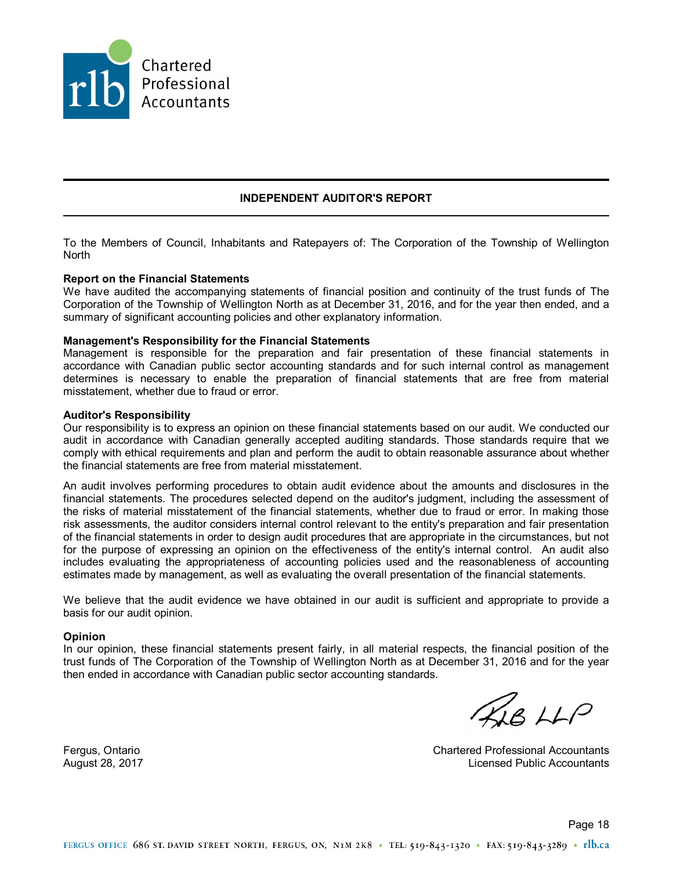

## **INDEPENDENT AUDITOR'S REPORT**

To the Members of Council, Inhabitants and Ratepayers of: The Corporation of the Township of Wellington North

#### **Report on the Financial Statements**

We have audited the accompanying statements of financial position and continuity of the trust funds of The Corporation of the Township of Wellington North as at December 31, 2016, and for the year then ended, and a summary of significant accounting policies and other explanatory information.

#### **Management's Responsibility for the Financial Statements**

Management is responsible for the preparation and fair presentation of these financial statements in accordance with Canadian public sector accounting standards and for such internal control as management determines is necessary to enable the preparation of financial statements that are free from material misstatement, whether due to fraud or error.

#### **Auditor's Responsibility**

Our responsibility is to express an opinion on these financial statements based on our audit. We conducted our audit in accordance with Canadian generally accepted auditing standards. Those standards require that we comply with ethical requirements and plan and perform the audit to obtain reasonable assurance about whether the financial statements are free from material misstatement.

An audit involves performing procedures to obtain audit evidence about the amounts and disclosures in the financial statements. The procedures selected depend on the auditor's judgment, including the assessment of the risks of material misstatement of the financial statements, whether due to fraud or error. In making those risk assessments, the auditor considers internal control relevant to the entity's preparation and fair presentation of the financial statements in order to design audit procedures that are appropriate in the circumstances, but not for the purpose of expressing an opinion on the effectiveness of the entity's internal control. An audit also includes evaluating the appropriateness of accounting policies used and the reasonableness of accounting estimates made by management, as well as evaluating the overall presentation of the financial statements.

We believe that the audit evidence we have obtained in our audit is sufficient and appropriate to provide a basis for our audit opinion.

#### **Opinion**

In our opinion, these financial statements present fairly, in all material respects, the financial position of the trust funds of The Corporation of the Township of Wellington North as at December 31, 2016 and for the year then ended in accordance with Canadian public sector accounting standards.

SAB LLP

Fergus, Ontario Chartered Professional Accountants August 28, 2017 Licensed Public Accountants

Page 18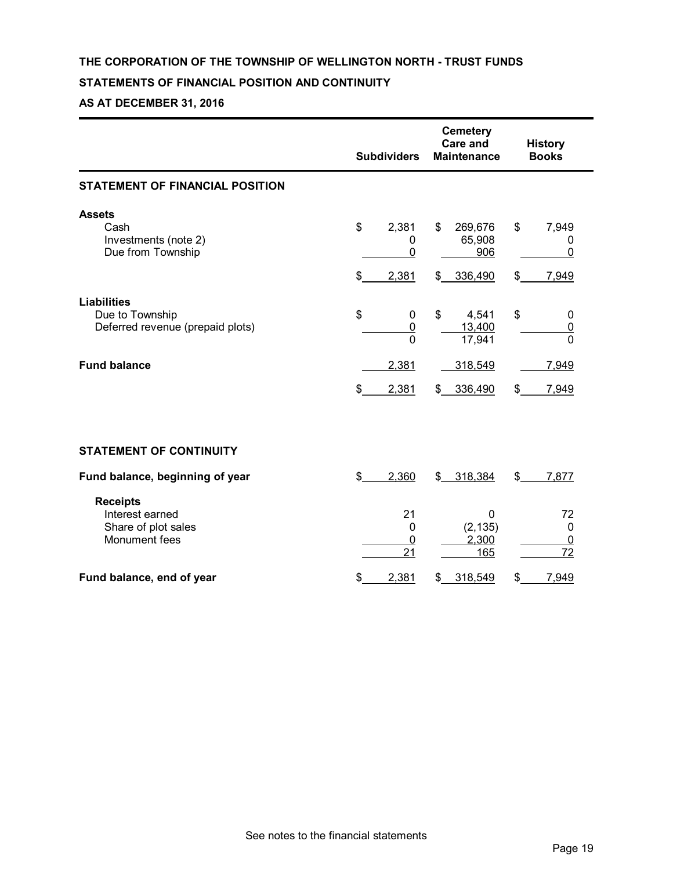# **THE CORPORATION OF THE TOWNSHIP OF WELLINGTON NORTH - TRUST FUNDS**

## **STATEMENTS OF FINANCIAL POSITION AND CONTINUITY**

# **AS AT DECEMBER 31, 2016**

|                                                                            | <b>Subdividers</b>                                        | <b>Cemetery</b><br><b>Care and</b><br><b>Maintenance</b> | <b>History</b><br><b>Books</b>                  |
|----------------------------------------------------------------------------|-----------------------------------------------------------|----------------------------------------------------------|-------------------------------------------------|
| <b>STATEMENT OF FINANCIAL POSITION</b>                                     |                                                           |                                                          |                                                 |
| <b>Assets</b><br>Cash<br>Investments (note 2)<br>Due from Township         | $\mathsf{\$}$<br>2,381<br>0<br>$\mathbf 0$<br>\$<br>2,381 | 269,676<br>\$<br>65,908<br>906<br>\$ 336,490             | \$<br>7,949<br>0<br>$\mathbf{0}$<br>\$<br>7,949 |
| <b>Liabilities</b><br>Due to Township<br>Deferred revenue (prepaid plots)  | $\mathsf{\$}$<br>0<br>$\overline{0}$<br>$\mathbf 0$       | \$<br>4,541<br>13,400<br>17,941                          | \$<br>0<br>$\overline{0}$<br>$\Omega$           |
| <b>Fund balance</b>                                                        | 2,381                                                     | 318,549                                                  | 7,949                                           |
|                                                                            | 2,381<br>\$                                               | \$ 336,490                                               | \$<br>7,949                                     |
| <b>STATEMENT OF CONTINUITY</b>                                             |                                                           |                                                          |                                                 |
| Fund balance, beginning of year                                            | \$<br>2,360                                               | \$<br>318,384                                            | \$<br>7,877                                     |
| <b>Receipts</b><br>Interest earned<br>Share of plot sales<br>Monument fees | 21<br>0<br>0<br>21                                        | 0<br>(2, 135)<br>2,300<br>165                            | 72<br>0<br>0<br>72                              |
| Fund balance, end of year                                                  | 2,381<br>\$                                               | 318,549<br>\$                                            | \$<br>7,949                                     |